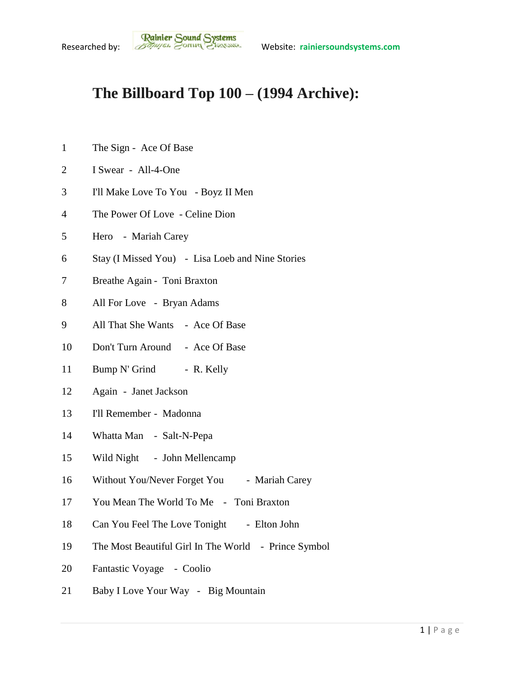## **The Billboard Top 100 – (1994 Archive):**

- 1 The Sign Ace Of Base
- I Swear All-4-One
- I'll Make Love To You Boyz II Men
- The Power Of Love Celine Dion
- Hero Mariah Carey
- Stay (I Missed You) Lisa Loeb and Nine Stories
- Breathe Again Toni Braxton
- All For Love Bryan Adams
- All That She Wants Ace Of Base
- Don't Turn Around Ace Of Base
- 11 Bump N' Grind R. Kelly
- Again Janet Jackson
- I'll Remember Madonna
- Whatta Man Salt-N-Pepa
- Wild Night John Mellencamp
- 16 Without You/Never Forget You Mariah Carey
- You Mean The World To Me Toni Braxton
- 18 Can You Feel The Love Tonight Elton John
- The Most Beautiful Girl In The World Prince Symbol
- Fantastic Voyage Coolio
- Baby I Love Your Way Big Mountain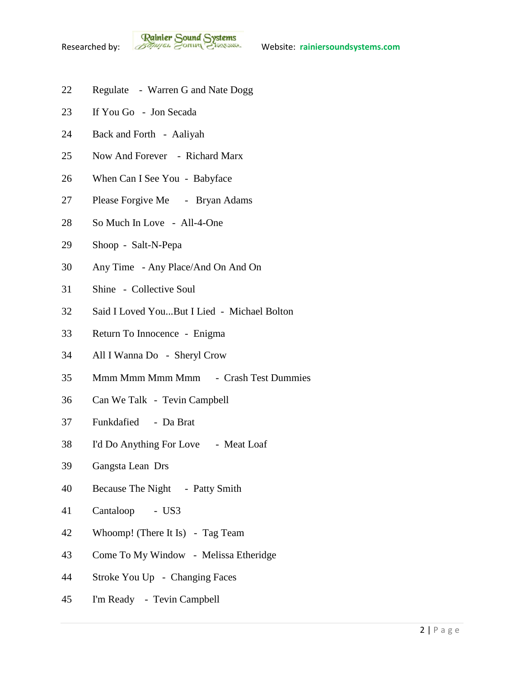**Rainier Sound Systems**<br>Researched by: *Bothuges* Conner Charantee Website: rainiersoundsystems.com

- Regulate Warren G and Nate Dogg
- If You Go Jon Secada
- Back and Forth Aaliyah
- Now And Forever Richard Marx
- When Can I See You Babyface
- Please Forgive Me Bryan Adams
- So Much In Love All-4-One
- Shoop Salt-N-Pepa
- Any Time Any Place/And On And On
- Shine Collective Soul
- Said I Loved You...But I Lied Michael Bolton
- Return To Innocence Enigma
- All I Wanna Do Sheryl Crow
- Mmm Mmm Mmm Mmm Crash Test Dummies
- Can We Talk Tevin Campbell
- Funkdafied Da Brat
- I'd Do Anything For Love Meat Loaf
- Gangsta Lean Drs
- Because The Night Patty Smith
- Cantaloop US3
- Whoomp! (There It Is) Tag Team
- Come To My Window Melissa Etheridge
- Stroke You Up Changing Faces
- I'm Ready Tevin Campbell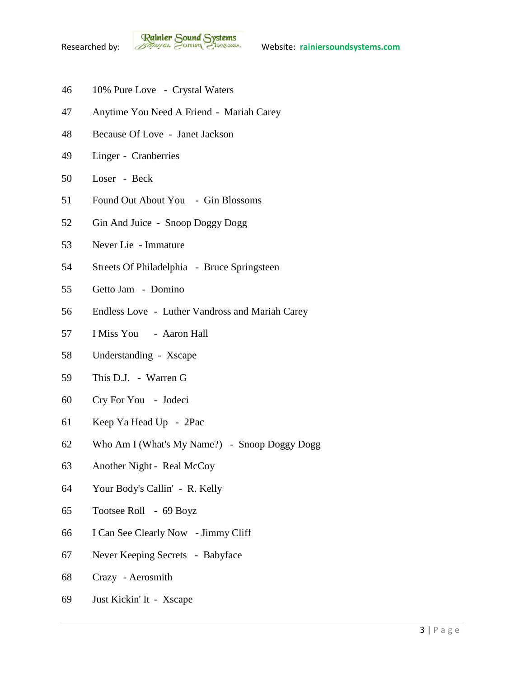- 10% Pure Love Crystal Waters
- Anytime You Need A Friend Mariah Carey
- Because Of Love Janet Jackson
- Linger Cranberries
- Loser Beck
- Found Out About You Gin Blossoms
- Gin And Juice Snoop Doggy Dogg
- Never Lie Immature
- Streets Of Philadelphia Bruce Springsteen
- Getto Jam Domino
- Endless Love Luther Vandross and Mariah Carey
- I Miss You Aaron Hall
- Understanding Xscape
- This D.J. Warren G
- Cry For You Jodeci
- Keep Ya Head Up 2Pac
- Who Am I (What's My Name?) Snoop Doggy Dogg
- Another Night Real McCoy
- Your Body's Callin' R. Kelly
- Tootsee Roll 69 Boyz
- I Can See Clearly Now Jimmy Cliff
- Never Keeping Secrets Babyface
- Crazy Aerosmith
- Just Kickin' It Xscape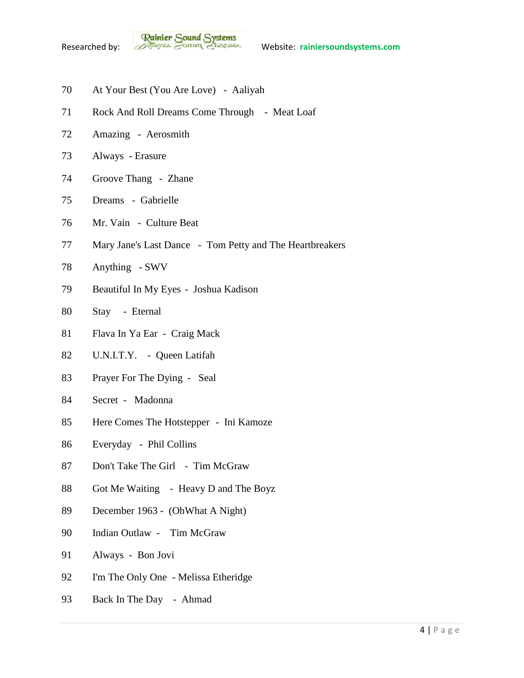- At Your Best (You Are Love) Aaliyah
- 71 Rock And Roll Dreams Come Through Meat Loaf
- Amazing Aerosmith
- Always Erasure
- Groove Thang Zhane
- Dreams Gabrielle
- Mr. Vain Culture Beat
- Mary Jane's Last Dance Tom Petty and The Heartbreakers
- Anything SWV
- Beautiful In My Eyes Joshua Kadison
- Stay Eternal
- Flava In Ya Ear Craig Mack
- U.N.I.T.Y. Queen Latifah
- Prayer For The Dying Seal
- Secret Madonna
- Here Comes The Hotstepper Ini Kamoze
- Everyday Phil Collins
- 87 Don't Take The Girl Tim McGraw
- 88 Got Me Waiting Heavy D and The Boyz
- December 1963 (OhWhat A Night)
- Indian Outlaw Tim McGraw
- Always Bon Jovi
- I'm The Only One Melissa Etheridge
- Back In The Day Ahmad